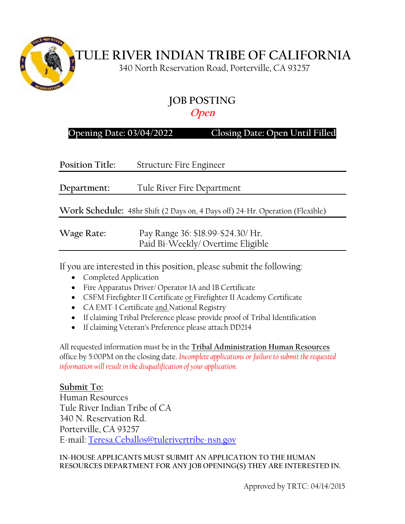

 **TULE RIVER INDIAN TRIBE OF CALIFORNIA**

340 North Reservation Road, Porterville, CA 93257

# **JOB POSTING**

#### **Open**

#### **Opening Date: 03/04/2022 Closing Date: Open Until Filled**

| <b>Position Title:</b> | <b>Structure Fire Engineer</b>                                                |
|------------------------|-------------------------------------------------------------------------------|
| Department:            | Tule River Fire Department                                                    |
|                        | Work Schedule: 48hr Shift (2 Days on, 4 Days off) 24-Hr. Operation (Flexible) |
| Wage Rate:             | Pay Range 36: \$18.99-\$24.30/ Hr.<br>Paid Bi-Weekly/Overtime Eligible        |
|                        |                                                                               |

If you are interested in this position, please submit the following:

- Completed Application
- Fire Apparatus Driver/ Operator 1A and 1B Certificate
- CSFM Firefighter II Certificate or Firefighter II Academy Certificate
- CA EMT-I Certificate and National Registry
- If claiming Tribal Preference please provide proof of Tribal Identification
- If claiming Veteran's Preference please attach DD214

All requested information must be in the **Tribal Administration Human Resources** office by 5:00PM on the closing date. *Incomplete applications or failure to submit the requested information will result in the disqualification of your application.*

### **Submit To:**

Human Resources Tule River Indian Tribe of CA 340 N. Reservation Rd. Porterville, CA 93257 E-mail: [Teresa.Ceballos@tulerivertribe-nsn.gov](mailto:Teresa.Ceballos@tulerivertribe-nsn.gov)

**IN-HOUSE APPLICANTS MUST SUBMIT AN APPLICATION TO THE HUMAN RESOURCES DEPARTMENT FOR ANY JOB OPENING(S) THEY ARE INTERESTED IN.**

Approved by TRTC: 04/14/2015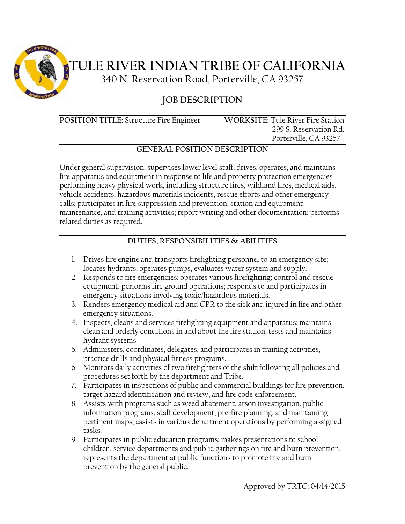

# **TULE RIVER INDIAN TRIBE OF CALIFORNIA**

340 N. Reservation Road, Porterville, CA 93257

## **JOB DESCRIPTION**

**POSITION TITLE:** Structure Fire Engineer **WORKSITE:** Tule River Fire Station

 299 S. Reservation Rd. Porterville, CA 93257

#### **GENERAL POSITION DESCRIPTION**

Under general supervision, supervises lower level staff, drives, operates, and maintains fire apparatus and equipment in response to life and property protection emergencies performing heavy physical work, including structure fires, wildland fires, medical aids, vehicle accidents, hazardous materials incidents, rescue efforts and other emergency calls; participates in fire suppression and prevention, station and equipment maintenance, and training activities; report writing and other documentation; performs related duties as required.

#### **DUTIES, RESPONSIBILITIES & ABILITIES**

- 1. Drives fire engine and transports firefighting personnel to an emergency site; locates hydrants, operates pumps, evaluates water system and supply.
- 2. Responds to fire emergencies; operates various firefighting; control and rescue equipment; performs fire ground operations; responds to and participates in emergency situations involving toxic/hazardous materials.
- 3. Renders emergency medical aid and CPR to the sick and injured in fire and other emergency situations.
- 4. Inspects, cleans and services firefighting equipment and apparatus; maintains clean and orderly conditions in and about the fire station; tests and maintains hydrant systems.
- 5. Administers, coordinates, delegates, and participates in training activities, practice drills and physical fitness programs.
- 6. Monitors daily activities of two firefighters of the shift following all policies and procedures set forth by the department and Tribe.
- 7. Participates in inspections of public and commercial buildings for fire prevention, target hazard identification and review, and fire code enforcement.
- 8. Assists with programs such as weed abatement, arson investigation, public information programs, staff development, pre-fire planning, and maintaining pertinent maps; assists in various department operations by performing assigned tasks.
- 9. Participates in public education programs; makes presentations to school children, service departments and public gatherings on fire and burn prevention; represents the department at public functions to promote fire and burn prevention by the general public.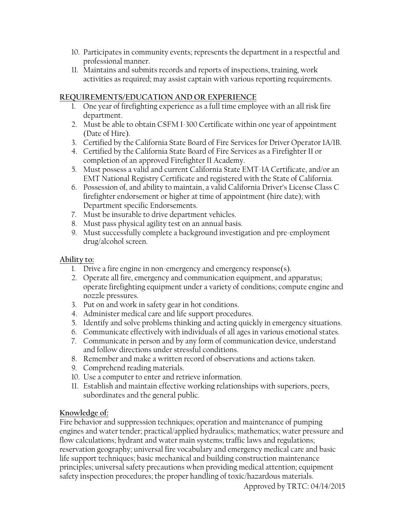- 10. Participates in community events; represents the department in a respectful and professional manner.
- 11. Maintains and submits records and reports of inspections, training, work activities as required; may assist captain with various reporting requirements.

#### **REQUIREMENTS/EDUCATION AND OR EXPERIENCE**

- 1. One year of firefighting experience as a full time employee with an all risk fire department.
- 2. Must be able to obtain CSFM I-300 Certificate within one year of appointment (Date of Hire).
- 3. Certified by the California State Board of Fire Services for Driver Operator 1A/1B.
- 4. Certified by the California State Board of Fire Services as a Firefighter II or completion of an approved Firefighter II Academy.
- 5. Must possess a valid and current California State EMT-1A Certificate, and/or an EMT National Registry Certificate and registered with the State of California.
- 6. Possession of, and ability to maintain, a valid California Driver's License Class C firefighter endorsement or higher at time of appointment (hire date); with Department specific Endorsements.
- 7. Must be insurable to drive department vehicles.
- 8. Must pass physical agility test on an annual basis.
- 9. Must successfully complete a background investigation and pre-employment drug/alcohol screen.

#### **Ability to:**

- 1. Drive a fire engine in non-emergency and emergency response(s).
- 2. Operate all fire, emergency and communication equipment, and apparatus; operate firefighting equipment under a variety of conditions; compute engine and nozzle pressures.
- 3. Put on and work in safety gear in hot conditions.
- 4. Administer medical care and life support procedures.
- 5. Identify and solve problems thinking and acting quickly in emergency situations.
- 6. Communicate effectively with individuals of all ages in various emotional states.
- 7. Communicate in person and by any form of communication device, understand and follow directions under stressful conditions.
- 8. Remember and make a written record of observations and actions taken.
- 9. Comprehend reading materials.
- 10. Use a computer to enter and retrieve information.
- 11. Establish and maintain effective working relationships with superiors, peers, subordinates and the general public.

#### **Knowledge of:**

Fire behavior and suppression techniques; operation and maintenance of pumping engines and water tender; practical/applied hydraulics; mathematics; water pressure and flow calculations; hydrant and water main systems; traffic laws and regulations; reservation geography; universal fire vocabulary and emergency medical care and basic life support techniques; basic mechanical and building construction maintenance principles; universal safety precautions when providing medical attention; equipment safety inspection procedures; the proper handling of toxic/hazardous materials.

Approved by TRTC: 04/14/2015